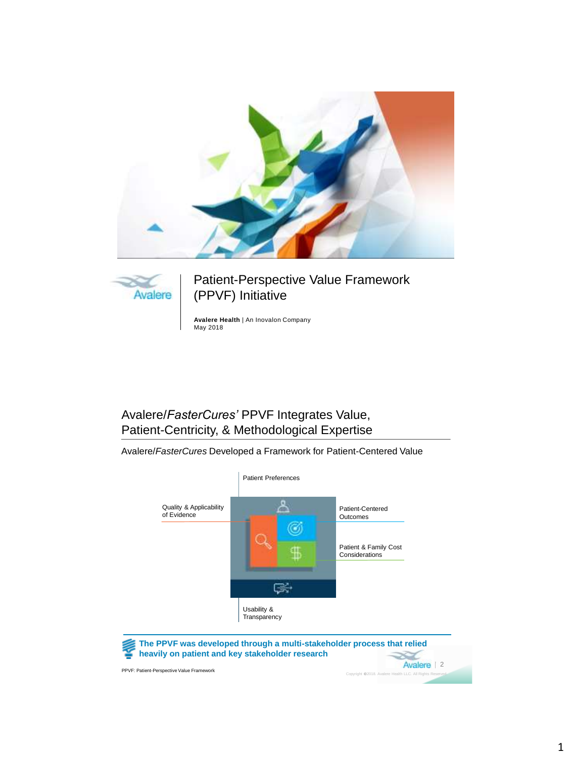



Patient-Perspective Value Framework (PPVF) Initiative

**Avalere Health** | An Inovalon Company May 2018

## Avalere/*FasterCures'* PPVF Integrates Value, Patient-Centricity, & Methodological Expertise

Avalere/*FasterCures* Developed a Framework for Patient-Centered Value

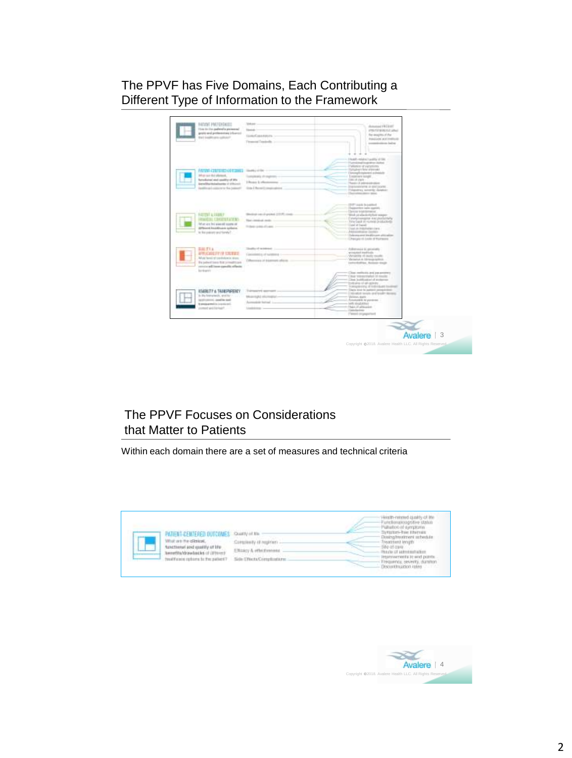## The PPVF has Five Domains, Each Contributing a Different Type of Information to the Framework

| <b>NUDIT PAPERBOOK</b><br>Sammen at he advices to all class<br>prove and professional informal<br><b>Back Experience and Automobile</b>                                                                                 | Vykos<br><b>Statistic</b><br><b>GARLER ARANGEMENTS</b><br>Firmmed Teacherby (c)<br>w.                                              |   | domestics' PA Citizen<br><b>IMENTOWALCO allegi</b><br>the integhbiral that<br>President and Institute<br>permanent control and                                                                                                                                                                                                                                                                        |           |
|-------------------------------------------------------------------------------------------------------------------------------------------------------------------------------------------------------------------------|------------------------------------------------------------------------------------------------------------------------------------|---|-------------------------------------------------------------------------------------------------------------------------------------------------------------------------------------------------------------------------------------------------------------------------------------------------------------------------------------------------------------------------------------------------------|-----------|
| <b>NUMBER OF STREET</b><br>infrastrate the inferioral.<br>factualizing) and could y of this<br><b>Elevating Heladachus by Children E.</b><br>Instituted address to be control.                                          | Completed of completes<br>1-Rosen & offentionmus.<br>Grida & Record Consultants                                                    | œ | I houseky reduction it positive all time.<br><b>Number of the American</b><br>Callisters of contations.<br>Through spin Belon at Grienwich<br>Determine provides start and relationship<br>Executivene bonder<br>CON 18 (rack)<br>Handle of address problem<br>Instruments in decourse.<br>Uniquerway summite closelater:<br>Dealerships and a spin-                                                  |           |
| 2014-123.12<br><b>FATTIST &amp; WANEP</b><br><b>CARL LEGISLAN</b><br>list un and the season of coordinate<br><b>SPResent kouldhuare gothers</b><br>to the patron and bowly?                                             | <b>CALL CARL VIOLET CONTROL</b><br>Shedinak can ob grained 23225; single-<br>New construct mode<br>Production products and automo- |   | Dollard Holds To Law<br>Department cars counter.<br><b>Elevisia legal terrantist</b><br>· · Minds productionship a season<br>- Cytatyloukopine are postatnyly<br>- Televisack at restoral problements<br>- Lineal lat based<br>. Food in minivelections<br>Addressmington-basilities<br>· Clairmann in bleidingen altitudien.<br>. [ President of Locks of Hydracox                                   |           |
| <b>BACTYA CONTRACTOR</b><br><b>STUDIES OF USERS</b><br><b>Balludel Barness and tunning designation adverses</b><br>the paleod topic first investment<br>renzia additura candita allaste.<br>by bank control to the con- | Thanks of academic<br>Cancelerin and selection and<br>(However, it basined places                                                  |   | Adversed a design<br>wingstal institute<br>Versatility of Lively rousilic.<br>Variation is University spinster.<br>Lashwells Millard Handale                                                                                                                                                                                                                                                          |           |
| <b><i>USAIN ITY A THAN PAPERTY</i></b><br>is the learnstants, smaller in a ca-<br>bestimment, condition again<br>in announcement to constitute and<br>parent and locked?                                                | Trainment systems -<br>Monitority of a student price<br>Annualiste hottes! La<br>Liabilities -                                     |   | Class mellionis and parameters<br>Citizen 'expressionized in maximum<br>Clint buildigated of statement<br>colonial state of an anticolor<br>Amounted of Infinitesia Instructor<br>Daris kink to painter permanental-<br>Collegebra textals and league demands.<br>Vermon durity.<br>Returnation for payments.<br>- lath your man<br>missilla ficeael-<br><b>United activity</b><br>Percent programmed |           |
|                                                                                                                                                                                                                         |                                                                                                                                    |   |                                                                                                                                                                                                                                                                                                                                                                                                       | Avalere 3 |

# The PPVF Focuses on Considerations that Matter to Patients

Within each domain there are a set of measures and technical criteria



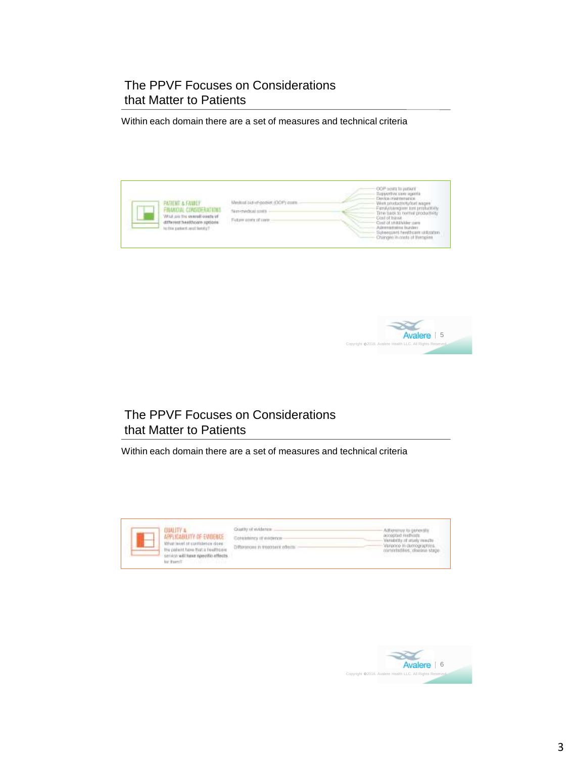### The PPVF Focuses on Considerations that Matter to Patients

Within each domain there are a set of measures and technical criteria





## The PPVF Focuses on Considerations that Matter to Patients

Within each domain there are a set of measures and technical criteria

| APPLICABILITY OF EVIDENCE.<br>Wrat invet of contiderior does:<br>the policit have that a healthpain.<br>servico will have specific effects.<br>for there?"<br><b>SAN WORLD</b> | Coattle of stridence.<br>Differences in treatment affects<br>すいさん アーティー・スページ パンパー スープ | Adhenmed to generally<br>accopted restricts<br>Variability of strucky monetar<br>Verence in demographins.<br>committed as checked stage.<br><b>MARY COMPANY OF ASSESSMENT RAN</b> |
|--------------------------------------------------------------------------------------------------------------------------------------------------------------------------------|---------------------------------------------------------------------------------------|-----------------------------------------------------------------------------------------------------------------------------------------------------------------------------------|
|--------------------------------------------------------------------------------------------------------------------------------------------------------------------------------|---------------------------------------------------------------------------------------|-----------------------------------------------------------------------------------------------------------------------------------------------------------------------------------|

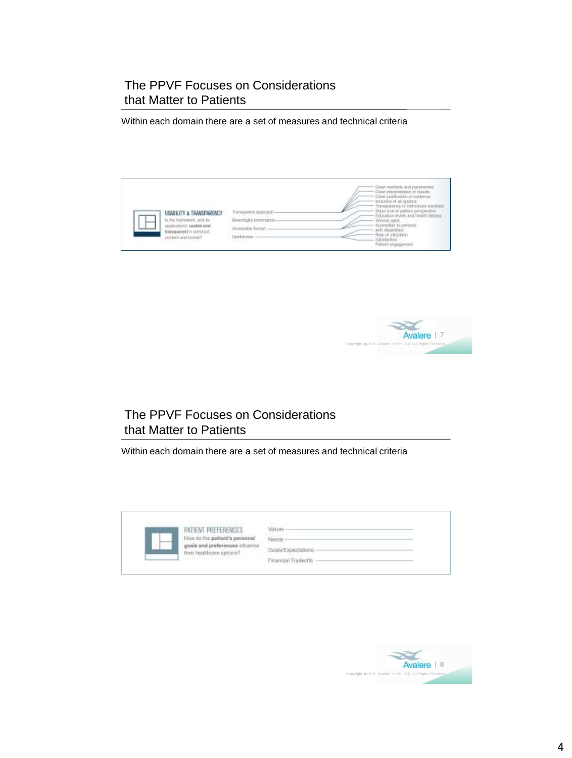### The PPVF Focuses on Considerations that Matter to Patients

Within each domain there are a set of measures and technical criteria





# The PPVF Focuses on Considerations that Matter to Patients

Within each domain there are a set of measures and technical criteria

| $\label{eq:2} \begin{split} \mathcal{L}_{\mathcal{A}}(\mathcal{L}_{\mathcal{A}}(\mathcal{L}_{\mathcal{A}}(\mathcal{L}_{\mathcal{A}}(\mathcal{L}_{\mathcal{A}}(\mathcal{L}_{\mathcal{A}}(\mathcal{L}_{\mathcal{A}}(\mathcal{L}_{\mathcal{A}}(\mathcal{L}_{\mathcal{A}}(\mathcal{L}_{\mathcal{A}}(\mathcal{L}_{\mathcal{A}}(\mathcal{L}_{\mathcal{A}}))))))\mathcal{L}_{\mathcal{A}}(\mathcal{L}_{\mathcal{A}}(\mathcal{L}_{\mathcal{A}}(\mathcal{L}_{\mathcal{A}}(\mathcal{L}_{\mathcal{A}}(\math$<br><b>PATIENT PREFERENCES</b> |                    |  |
|---------------------------------------------------------------------------------------------------------------------------------------------------------------------------------------------------------------------------------------------------------------------------------------------------------------------------------------------------------------------------------------------------------------------------------------------------------------------------------------------------------------------------------|--------------------|--|
| How do the patient's personal                                                                                                                                                                                                                                                                                                                                                                                                                                                                                                   |                    |  |
| posts and preferences.<br>thist heathcare options?<br>__                                                                                                                                                                                                                                                                                                                                                                                                                                                                        | Goals/Expectations |  |
| The company of the company of the company                                                                                                                                                                                                                                                                                                                                                                                                                                                                                       | Financial Tradeo   |  |

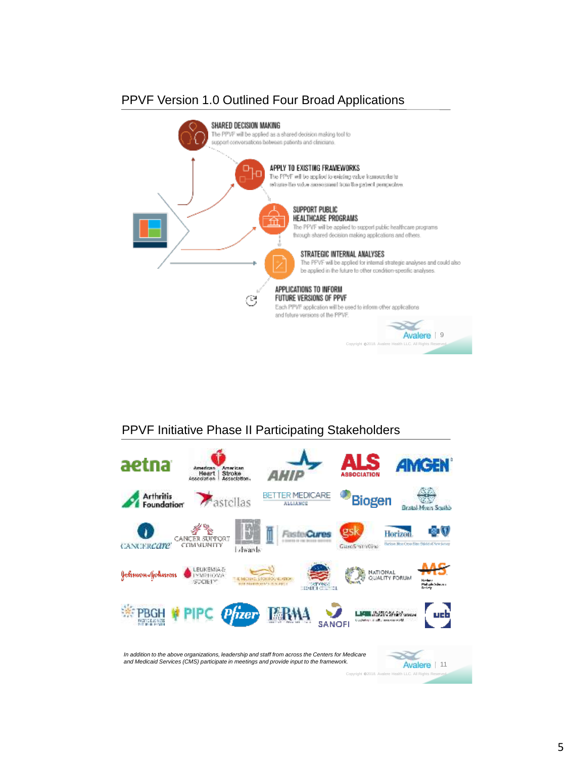# PPVF Version 1.0 Outlined Four Broad Applications



# PPVF Initiative Phase II Participating Stakeholders

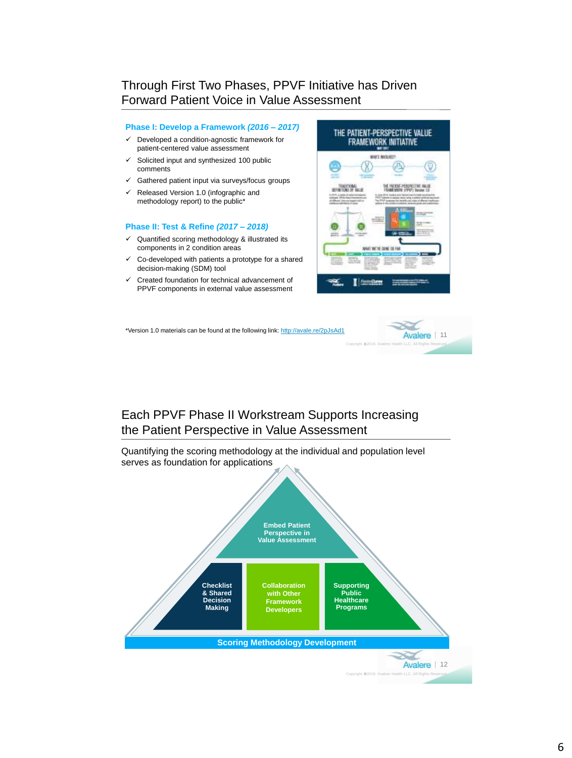#### Through First Two Phases, PPVF Initiative has Driven Forward Patient Voice in Value Assessment

#### **Phase I: Develop a Framework** *(2016 – 2017)*

- $\checkmark$  Developed a condition-agnostic framework for patient-centered value assessment
- Solicited input and synthesized 100 public comments
- $\checkmark$  Gathered patient input via surveys/focus groups
- $\checkmark$  Released Version 1.0 (infographic and methodology report) to the public\*

#### **Phase II: Test & Refine** *(2017 – 2018)*

- $\checkmark$  Quantified scoring methodology & illustrated its components in 2 condition areas
- $\checkmark$  Co-developed with patients a prototype for a shared decision-making (SDM) tool
- $\checkmark$  Created foundation for technical advancement of PPVF components in external value assessment



\*Version 1.0 materials can be found at the following link:<http://avale.re/2pJsAd1>



#### Each PPVF Phase II Workstream Supports Increasing the Patient Perspective in Value Assessment

Quantifying the scoring methodology at the individual and population level serves as foundation for applications

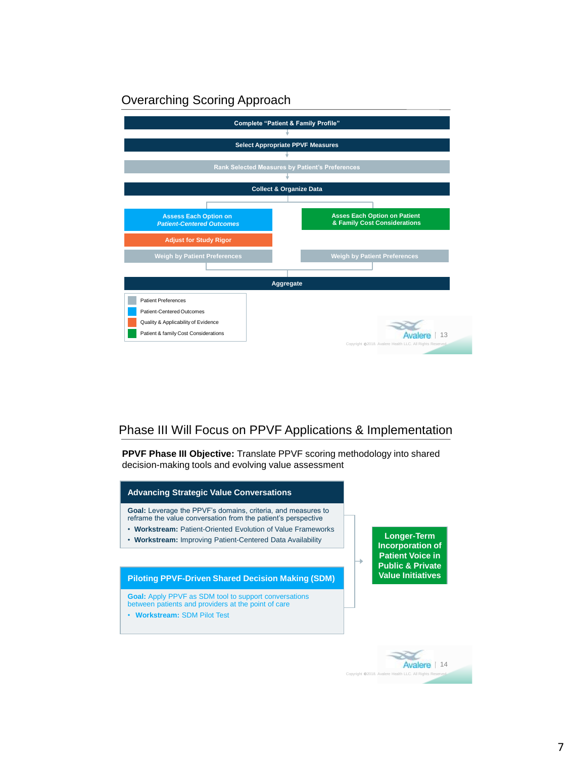## Overarching Scoring Approach



### Phase III Will Focus on PPVF Applications & Implementation

**PPVF Phase III Objective:** Translate PPVF scoring methodology into shared decision-making tools and evolving value assessment